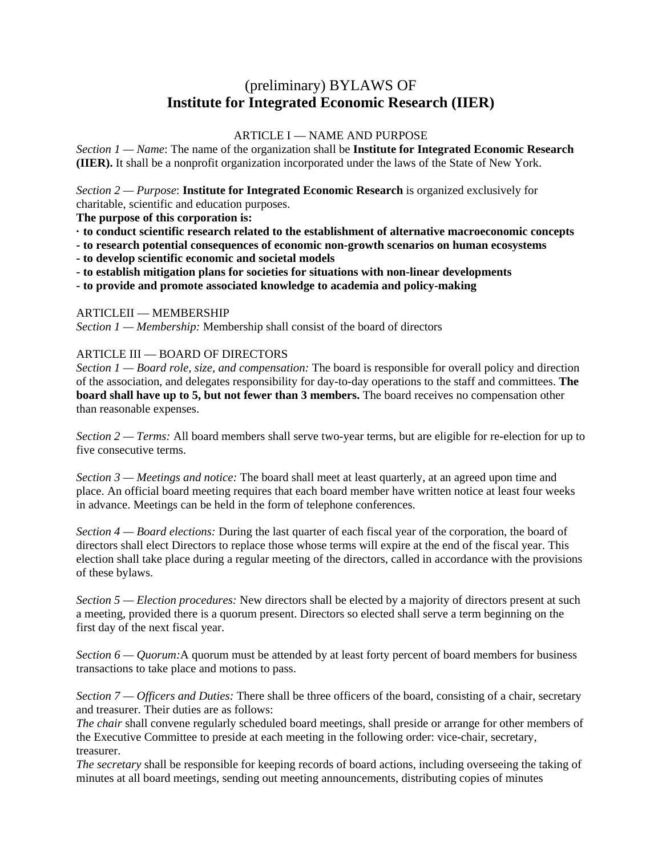# (preliminary) BYLAWS OF **Institute for Integrated Economic Research (IIER)**

## ARTICLE I — NAME AND PURPOSE

*Section 1 — Name*: The name of the organization shall be **Institute for Integrated Economic Research (IIER).** It shall be a nonprofit organization incorporated under the laws of the State of New York.

*Section 2 — Purpose*: **Institute for Integrated Economic Research** is organized exclusively for charitable, scientific and education purposes.

**The purpose of this corporation is:** 

- **· to conduct scientific research related to the establishment of alternative macroeconomic concepts**
- **to research potential consequences of economic non-growth scenarios on human ecosystems**
- **to develop scientific economic and societal models**
- **to establish mitigation plans for societies for situations with non-linear developments**

**- to provide and promote associated knowledge to academia and policy-making** 

### ARTICLEII — MEMBERSHIP

*Section 1 — Membership:* Membership shall consist of the board of directors

### ARTICLE III — BOARD OF DIRECTORS

*Section 1 — Board role, size, and compensation:* The board is responsible for overall policy and direction of the association, and delegates responsibility for day-to-day operations to the staff and committees. **The board shall have up to 5, but not fewer than 3 members.** The board receives no compensation other than reasonable expenses.

*Section 2 — Terms:* All board members shall serve two-year terms, but are eligible for re-election for up to five consecutive terms.

*Section 3 — Meetings and notice:* The board shall meet at least quarterly, at an agreed upon time and place. An official board meeting requires that each board member have written notice at least four weeks in advance. Meetings can be held in the form of telephone conferences.

*Section 4 — Board elections:* During the last quarter of each fiscal year of the corporation, the board of directors shall elect Directors to replace those whose terms will expire at the end of the fiscal year. This election shall take place during a regular meeting of the directors, called in accordance with the provisions of these bylaws.

*Section 5 — Election procedures:* New directors shall be elected by a majority of directors present at such a meeting, provided there is a quorum present. Directors so elected shall serve a term beginning on the first day of the next fiscal year.

*Section 6 — Quorum:*A quorum must be attended by at least forty percent of board members for business transactions to take place and motions to pass.

*Section 7 — Officers and Duties:* There shall be three officers of the board, consisting of a chair, secretary and treasurer. Their duties are as follows:

*The chair* shall convene regularly scheduled board meetings, shall preside or arrange for other members of the Executive Committee to preside at each meeting in the following order: vice-chair, secretary, treasurer.

*The secretary* shall be responsible for keeping records of board actions, including overseeing the taking of minutes at all board meetings, sending out meeting announcements, distributing copies of minutes